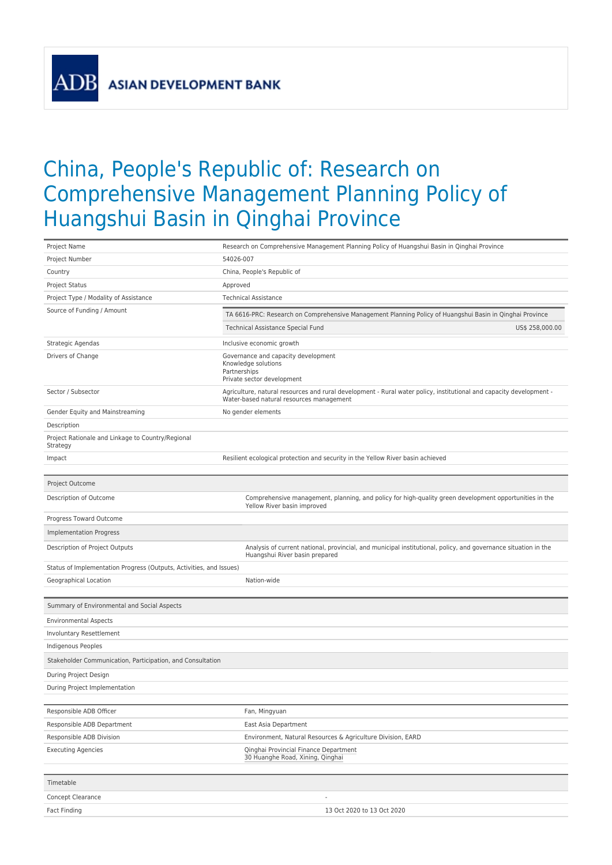**ASIAN DEVELOPMENT BANK** 

ADI

## China, People's Republic of: Research on Comprehensive Management Planning Policy of Huangshui Basin in Qinghai Province

| Project Name                                                        | Research on Comprehensive Management Planning Policy of Huangshui Basin in Qinghai Province                                                                     |  |  |  |  |  |
|---------------------------------------------------------------------|-----------------------------------------------------------------------------------------------------------------------------------------------------------------|--|--|--|--|--|
| Project Number                                                      | 54026-007                                                                                                                                                       |  |  |  |  |  |
| Country                                                             | China, People's Republic of                                                                                                                                     |  |  |  |  |  |
| <b>Project Status</b>                                               | Approved                                                                                                                                                        |  |  |  |  |  |
| Project Type / Modality of Assistance                               | <b>Technical Assistance</b>                                                                                                                                     |  |  |  |  |  |
| Source of Funding / Amount                                          | TA 6616-PRC: Research on Comprehensive Management Planning Policy of Huangshui Basin in Qinghai Province                                                        |  |  |  |  |  |
|                                                                     | Technical Assistance Special Fund<br>US\$ 258,000.00                                                                                                            |  |  |  |  |  |
| Strategic Agendas                                                   | Inclusive economic growth                                                                                                                                       |  |  |  |  |  |
| Drivers of Change                                                   | Governance and capacity development<br>Knowledge solutions<br>Partnerships<br>Private sector development                                                        |  |  |  |  |  |
| Sector / Subsector                                                  | Agriculture, natural resources and rural development - Rural water policy, institutional and capacity development -<br>Water-based natural resources management |  |  |  |  |  |
| Gender Equity and Mainstreaming                                     | No gender elements                                                                                                                                              |  |  |  |  |  |
| Description                                                         |                                                                                                                                                                 |  |  |  |  |  |
| Project Rationale and Linkage to Country/Regional<br>Strategy       |                                                                                                                                                                 |  |  |  |  |  |
| Impact                                                              | Resilient ecological protection and security in the Yellow River basin achieved                                                                                 |  |  |  |  |  |
|                                                                     |                                                                                                                                                                 |  |  |  |  |  |
| Project Outcome                                                     |                                                                                                                                                                 |  |  |  |  |  |
| Description of Outcome                                              | Comprehensive management, planning, and policy for high-quality green development opportunities in the<br>Yellow River basin improved                           |  |  |  |  |  |
| Progress Toward Outcome                                             |                                                                                                                                                                 |  |  |  |  |  |
| <b>Implementation Progress</b>                                      |                                                                                                                                                                 |  |  |  |  |  |
| Description of Project Outputs                                      | Analysis of current national, provincial, and municipal institutional, policy, and governance situation in the<br>Huangshui River basin prepared                |  |  |  |  |  |
| Status of Implementation Progress (Outputs, Activities, and Issues) |                                                                                                                                                                 |  |  |  |  |  |
| Geographical Location                                               | Nation-wide                                                                                                                                                     |  |  |  |  |  |
|                                                                     |                                                                                                                                                                 |  |  |  |  |  |
| Summary of Environmental and Social Aspects                         |                                                                                                                                                                 |  |  |  |  |  |
| <b>Environmental Aspects</b>                                        |                                                                                                                                                                 |  |  |  |  |  |
| Involuntary Resettlement                                            |                                                                                                                                                                 |  |  |  |  |  |
| Indigenous Peoples                                                  |                                                                                                                                                                 |  |  |  |  |  |
| Stakeholder Communication, Participation, and Consultation          |                                                                                                                                                                 |  |  |  |  |  |
| During Project Design                                               |                                                                                                                                                                 |  |  |  |  |  |
| During Project Implementation                                       |                                                                                                                                                                 |  |  |  |  |  |
|                                                                     |                                                                                                                                                                 |  |  |  |  |  |
| Responsible ADB Officer                                             | Fan, Mingyuan                                                                                                                                                   |  |  |  |  |  |
| Responsible ADB Department                                          | East Asia Department                                                                                                                                            |  |  |  |  |  |
| Responsible ADB Division                                            | Environment, Natural Resources & Agriculture Division, EARD                                                                                                     |  |  |  |  |  |
| <b>Executing Agencies</b>                                           | Qinghai Provincial Finance Department<br>30 Huanghe Road, Xining, Qinghai                                                                                       |  |  |  |  |  |
| Timetable                                                           |                                                                                                                                                                 |  |  |  |  |  |
| Concept Clearance                                                   | $\overline{a}$                                                                                                                                                  |  |  |  |  |  |
| Fact Finding                                                        | 13 Oct 2020 to 13 Oct 2020                                                                                                                                      |  |  |  |  |  |
|                                                                     |                                                                                                                                                                 |  |  |  |  |  |